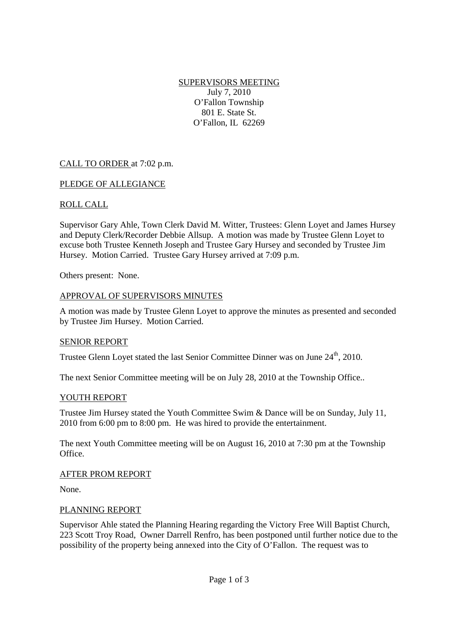SUPERVISORS MEETING July 7, 2010 O'Fallon Township 801 E. State St. O'Fallon, IL 62269

# CALL TO ORDER at 7:02 p.m.

### PLEDGE OF ALLEGIANCE

### ROLL CALL

Supervisor Gary Ahle, Town Clerk David M. Witter, Trustees: Glenn Loyet and James Hursey and Deputy Clerk/Recorder Debbie Allsup. A motion was made by Trustee Glenn Loyet to excuse both Trustee Kenneth Joseph and Trustee Gary Hursey and seconded by Trustee Jim Hursey. Motion Carried. Trustee Gary Hursey arrived at 7:09 p.m.

Others present: None.

### APPROVAL OF SUPERVISORS MINUTES

A motion was made by Trustee Glenn Loyet to approve the minutes as presented and seconded by Trustee Jim Hursey. Motion Carried.

#### SENIOR REPORT

Trustee Glenn Lovet stated the last Senior Committee Dinner was on June 24<sup>th</sup>, 2010.

The next Senior Committee meeting will be on July 28, 2010 at the Township Office..

#### YOUTH REPORT

Trustee Jim Hursey stated the Youth Committee Swim & Dance will be on Sunday, July 11, 2010 from 6:00 pm to 8:00 pm. He was hired to provide the entertainment.

The next Youth Committee meeting will be on August 16, 2010 at 7:30 pm at the Township Office.

#### AFTER PROM REPORT

None.

#### PLANNING REPORT

Supervisor Ahle stated the Planning Hearing regarding the Victory Free Will Baptist Church, 223 Scott Troy Road, Owner Darrell Renfro, has been postponed until further notice due to the possibility of the property being annexed into the City of O'Fallon. The request was to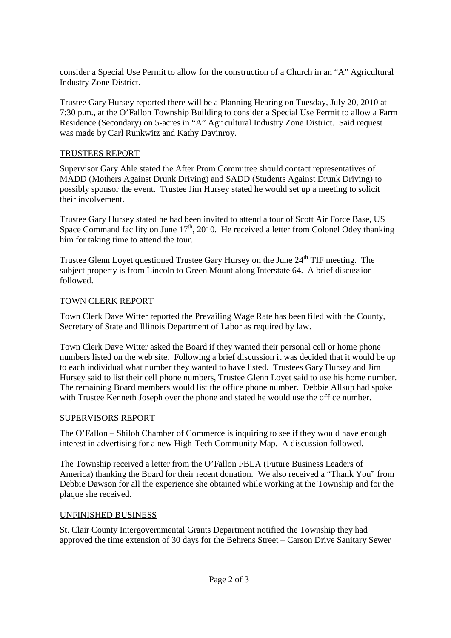consider a Special Use Permit to allow for the construction of a Church in an "A" Agricultural Industry Zone District.

Trustee Gary Hursey reported there will be a Planning Hearing on Tuesday, July 20, 2010 at 7:30 p.m., at the O'Fallon Township Building to consider a Special Use Permit to allow a Farm Residence (Secondary) on 5-acres in "A" Agricultural Industry Zone District. Said request was made by Carl Runkwitz and Kathy Davinroy.

# TRUSTEES REPORT

Supervisor Gary Ahle stated the After Prom Committee should contact representatives of MADD (Mothers Against Drunk Driving) and SADD (Students Against Drunk Driving) to possibly sponsor the event. Trustee Jim Hursey stated he would set up a meeting to solicit their involvement.

Trustee Gary Hursey stated he had been invited to attend a tour of Scott Air Force Base, US Space Command facility on June  $17<sup>th</sup>$ , 2010. He received a letter from Colonel Odey thanking him for taking time to attend the tour.

Trustee Glenn Loyet questioned Trustee Gary Hursey on the June 24<sup>th</sup> TIF meeting. The subject property is from Lincoln to Green Mount along Interstate 64. A brief discussion followed.

# TOWN CLERK REPORT

Town Clerk Dave Witter reported the Prevailing Wage Rate has been filed with the County, Secretary of State and Illinois Department of Labor as required by law.

Town Clerk Dave Witter asked the Board if they wanted their personal cell or home phone numbers listed on the web site. Following a brief discussion it was decided that it would be up to each individual what number they wanted to have listed. Trustees Gary Hursey and Jim Hursey said to list their cell phone numbers, Trustee Glenn Loyet said to use his home number. The remaining Board members would list the office phone number. Debbie Allsup had spoke with Trustee Kenneth Joseph over the phone and stated he would use the office number.

## SUPERVISORS REPORT

The O'Fallon – Shiloh Chamber of Commerce is inquiring to see if they would have enough interest in advertising for a new High-Tech Community Map. A discussion followed.

The Township received a letter from the O'Fallon FBLA (Future Business Leaders of America) thanking the Board for their recent donation. We also received a "Thank You" from Debbie Dawson for all the experience she obtained while working at the Township and for the plaque she received.

## UNFINISHED BUSINESS

St. Clair County Intergovernmental Grants Department notified the Township they had approved the time extension of 30 days for the Behrens Street – Carson Drive Sanitary Sewer